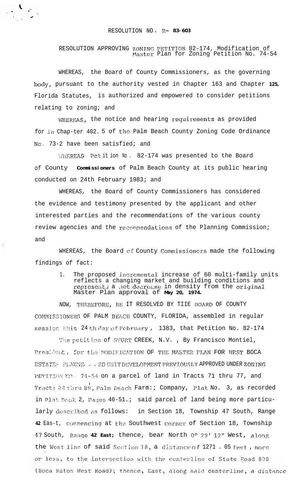## RESOLUTION NO **. R- 83-603**

 $\mathcal{N}_{\mathcal{P}_{\mathcal{A}}^{\mathcal{P}_{\mathcal{A}}}}$ 

 $\mathfrak i$ 

RESOLUTION APPROVING ZONING PETITTOM 82-174, Modification of r4aster Plan for Zoning Petition No. 74-54

WHEREAS, the Board of County Commissioners, as the governing body, pursuant to the authority vested in Chapter 163 and Chapter **125,** Florida Statutes, is authorized and empowered to consider petitions relating to zoning; and

WHEREAS, the notice and hearing requirements as provided for in Chap-ter 402. 5 of the Palm Beach County Zoning Code Ordinance No, 73-2 have been satisfied; and

WHEREAS Pet it ion No . 82-174 was presented to the Board of County **Commissioners** of Palm Beach County at its public hearing conducted on 24th February 1983; and

WHEREAS, the Board of County Commissioners has considered the evidence and testimony presented by the applicant and other interested parties and the recommendations of the various county review agencies and the recommendations of the Planning Commission; and

WHEREAS, the Board of County Commissioners made the following findings of fact:

> 1. The proposed incremental increase of 60 multi-family units reflects a changing market and building conditions and represents a net decrease in density from the original Master Plan approval of **May 20, 1974.**

NOW, THEREFORE, BE IT RESOLVED BY TIIE BOARD OF COUNTY COMMISSIONERS OF PALM BEACH COUNTY, FLORIDA, assembled in regular session this 24 th day of February , 1383, that Petition No. 82-174

The petition of STURT CREEK, N.V., By Francisco Montiel, President, for the MODIFICATION OF THE MASTER PLAN FOR WEST BOCA ESTATES PLANNE. . . ED UNIT DEVELOPMENT PREVIOUSLY APPROVED UNDER ZONING PETITION NO. 74-54 on a parcel of land in Tracts 71 thru 77, and Tracts 34 thru 89, Palm Beach Farm:; Company, Plat No. 3, as recorded in Plat Book 2, Pages 46-51.; said parcel of land being more particularly described as follows: in Section 18, Township 47 South, Range 42 Eas-t, commencing at the Southwest corner of Section 18, Township **47** South, **Ra~lge 42 East;** thence, bear North O0 29' 12" West, along the West line of said Section 18, a distance of 1271 . 05 feet, more .or less, to the intersection with the centerline of State Road 808 (Boca Raton West Road); thence, East, along said centerline, a distance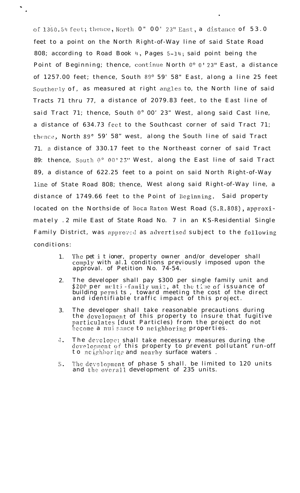of 1360.54 feet; thence, North 0" 00' 23" East, a distance of 53.0 feet to a point on the North Right-of-Way line of said State Road 808; according to Road Book  $\mu$ , Pages 5-14; said point being the Point of Beginning; thence, continue North  $0^{\circ}$  0' 23" East, a distance of  $1257.00$  feet; thence, South  $89^{\circ}$   $59'$   $58''$  East, along a line 25 feet Southerly of, as measured at right angles to, the North line of said Tracts 71 thru 77, a distance of 2079.83 feet, to the East line of said Tract 71; thence, South 0° 00' 23" West, along said Cast line, a distance of 634.73 feet to the Southcast corner of said Tract 71; thence, North 89 $^{\circ}$  59' 58" west, along the South line of said Tract 71. 3 distance of 330.17 feet to the Northeast corner of said Tract 89: thence, South  $0^{\circ}$  00' 23" West, along the East line of said Tract 89, a distance of 622.25 feet to a point on said North Right-of-Way line of State Road 808; thence, West along said Right-of-Way line, a distance of 1749.66 feet to the Point of Ecginning. Said property located on the Northside of Boca Raton West Road (S.R.808), approximately . 2 mile East of State Road No. 7 in an KS-Residential Single Family District, was approved as advertised subject to the following conditions:

.

\* .

- 1. The pet it ioner, property owner and/or developer shall comply with al.1 conditions previously imposed upon the approval. of Petition No. 74-54.
- 2. The developer shall pay \$300 per single family unit and \$200 per multi-family unit, at the time of issuance of building permits, toward meeting the cost of the direct and identifiable traffic impact of this project.
- 3. The developer shall take reasonable precautions during the development of this property to insure that fugitive particulates [dust Particles) from the project do not become a nui sance to neighboring properties.
- 4. The develope: shall take necessary measures during the development of this property to prevent pollutant run-off to neighboring and nearby surface waters .
- \$ The development of phase 5 shall. be limited to 120 units and the overall development of 235 units.